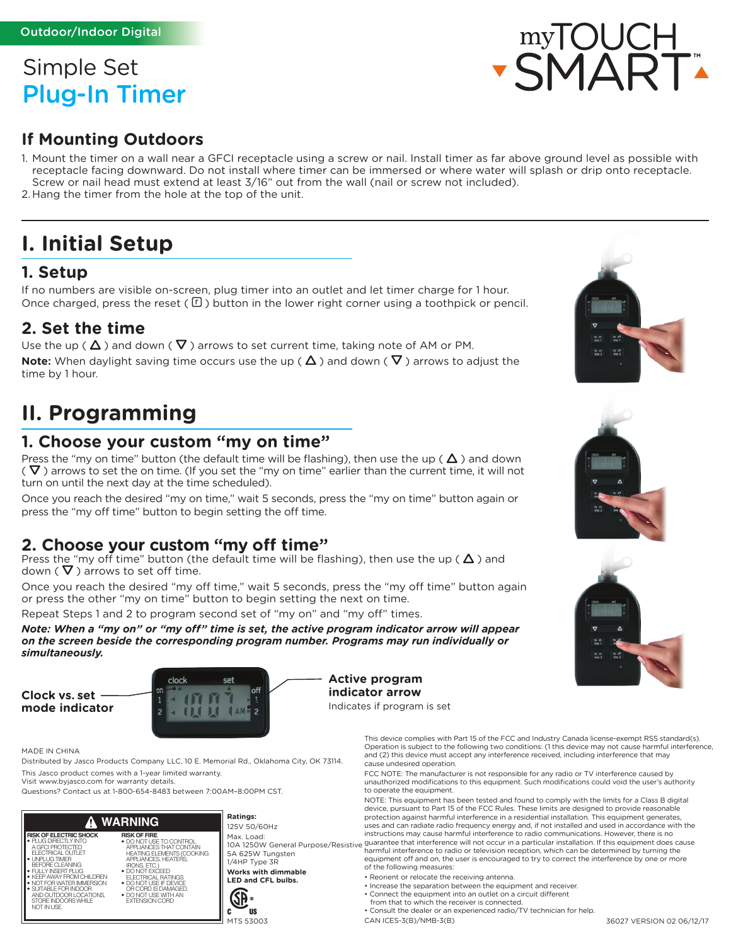# Simple Set Plug-In Timer

### **If Mounting Outdoors**

1. Mount the timer on a wall near a GFCI receptacle using a screw or nail. Install timer as far above ground level as possible with receptacle facing downward. Do not install where timer can be immersed or where water will splash or drip onto receptacle. Screw or nail head must extend at least 3/16" out from the wall (nail or screw not included).

2. Hang the timer from the hole at the top of the unit.

# **I. Initial Setup**

#### **1. Setup**

If no numbers are visible on-screen, plug timer into an outlet and let timer charge for 1 hour. Once charged, press the reset ( $\mathbb{E}$ ) button in the lower right corner using a toothpick or pencil.

#### **2. Set the time**

Use the up ( $\Delta$ ) and down ( $\nabla$ ) arrows to set current time, taking note of AM or PM. **Note:** When daylight saving time occurs use the up ( $\Delta$ ) and down ( $\nabla$ ) arrows to adjust the time by 1 hour.

# **II. Programming**

#### **1. Choose your custom "my on time"**

Press the "my on time" button (the default time will be flashing), then use the up ( $\Delta$ ) and down ( $\nabla$ ) arrows to set the on time. (If you set the "my on time" earlier than the current time, it will not turn on until the next day at the time scheduled).

Once you reach the desired "my on time," wait 5 seconds, press the "my on time" button again or press the "my off time" button to begin setting the off time.

#### **2. Choose your custom "my off time"**

Press the "my off time" button (the default time will be flashing), then use the up (  $\Delta$  ) and down  $(\nabla)$  arrows to set off time.

Once you reach the desired "my off time," wait 5 seconds, press the "my off time" button again or press the other "my on time" button to begin setting the next on time.

Repeat Steps 1 and 2 to program second set of "my on" and "my off" times.

*Note: When a "my on" or "my off" time is set, the active program indicator arrow will appear on the screen beside the corresponding program number. Programs may run individually or simultaneously.* 

**Clock vs. set mode indicator**



MADE IN CHINA

Distributed by Jasco Products Company LLC, 10 E. Memorial Rd., Oklahoma City, OK 73114. This Jasco product comes with a 1-year limited warranty.

Visit www.byjasco.com for warranty details.

Questions? Contact us at 1-800-654-8483 between 7:00AM–8:00PM CST.

#### **Ratings: WARNING** Æ **RISK OF ELECTRIC SHOCK RISK OF FIRE** • PLUG DIRECTLY INTO A GFCI PROTECTED • DO NOT USE TO CONTROL APPLIANCES THAT CONTAIN HEATING ELEMENTS (COOKING APPLIANCES, HEATERS, IRONS, ETC.) ELECTRICAL OUTLET • UNPLUG TIMER BEFORE CLEANING **FULLY INSERT PLUG** • DO NOT EXCEED ELECTRICAL RATINGS • DO NOT USE IF DEVICE OR CORD IS DAMAGED. • KEEP AWAY FROM CHILDREN • NOT FOR WATER IMMERSION • SUITABLE FOR INDOOR AND OUTDOOR LOCATIONS, STORE INDOORS WHILE NOT IN USE. • DO NOT USE WITH AN EXTENSION CORD c

125V 50/60Hz 5A 625W Tungsten 1/4HP Type 3R **Works with dimmable LED and CFL bulbs.**



myTOUCH<br>SMART







**Active program indicator arrow** Indicates if program is set

> This device complies with Part 15 of the FCC and Industry Canada license-exempt RSS standard(s). Operation is subject to the following two conditions: (1 this device may not cause harmful interference, and (2) this device must accept any interference received, including interference that may cause undesired operation.

FCC NOTE: The manufacturer is not responsible for any radio or TV interference caused by unauthorized modifications to this equipment. Such modifications could void the user's authority to operate the equipment.

NOTE: This equipment has been tested and found to comply with the limits for a Class B digital device, pursuant to Part 15 of the FCC Rules. These limits are designed to provide reasonable protection against harmful interference in a residential installation. This equipment generates, uses and can radiate radio frequency energy and, if not installed and used in accordance with the instructions may cause harmful interference to radio communications. However, there is no Max. Load:<br>10A 1250W General Purpose/Resistive guarantee that interference will not occur in a particular installation. If this equipment does cause harmful interference to radio or television reception, which can be determined by turning the equipment off and on, the user is encouraged to try to correct the interference by one or more

of the following measures:

- Reorient or relocate the receiving antenna.
- Increase the separation between the equipment and receiver.
- Connect the equipment into an outlet on a circuit different
- from that to which the receiver is connected.
- Consult the dealer or an experienced radio/TV technician for help.

CAN ICES-3(B)/NMB-3(B)